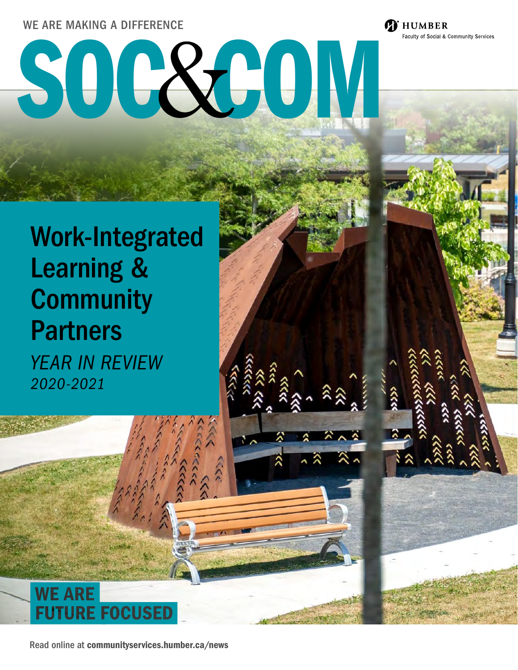#### WE ARE MAKING A DIFFERENCE

# SOC&OM

**Ti** HUMBER

Faculty of Social & Community Services

# Work-Integrated Learning & **Community** Partners *YEAR IN REVIEW*

*2020-2021*

**WE ARE FUTURE FOCUS** 

Read online at [communityservices.humber.ca/news](http://communityservices.humber.ca/news)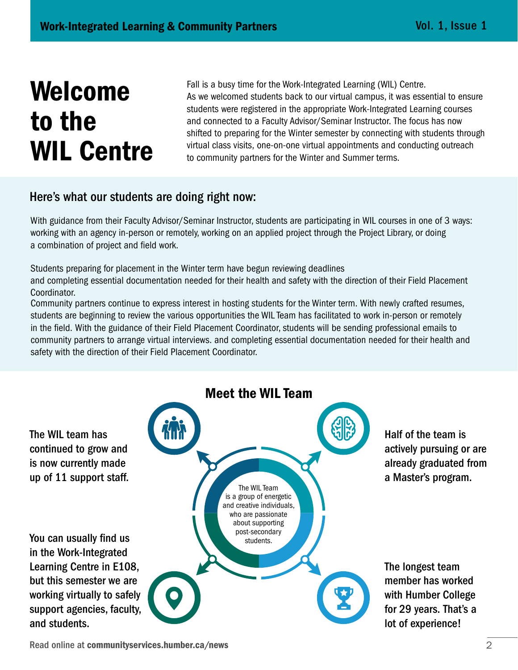# Welcome to the WIL Centre

Fall is a busy time for the Work-Integrated Learning (WIL) Centre. As we welcomed students back to our virtual campus, it was essential to ensure students were registered in the appropriate Work-Integrated Learning courses and connected to a Faculty Advisor/Seminar Instructor. The focus has now shifted to preparing for the Winter semester by connecting with students through virtual class visits, one-on-one virtual appointments and conducting outreach to community partners for the Winter and Summer terms.

#### Here's what our students are doing right now:

With guidance from their Faculty Advisor/Seminar Instructor, students are participating in WIL courses in one of 3 ways: working with an agency in-person or remotely, working on an applied project through the Project Library, or doing a combination of project and field work.

Students preparing for placement in the Winter term have begun reviewing deadlines

and completing essential documentation needed for their health and safety with the direction of their Field Placement Coordinator.

Community partners continue to express interest in hosting students for the Winter term. With newly crafted resumes, students are beginning to review the various opportunities the WIL Team has facilitated to work in-person or remotely in the field. With the guidance of their Field Placement Coordinator, students will be sending professional emails to community partners to arrange virtual interviews. and completing essential documentation needed for their health and safety with the direction of their Field Placement Coordinator.



Read online at [communityservices.humber.ca/news](http://communityservices.humber.ca/news) 2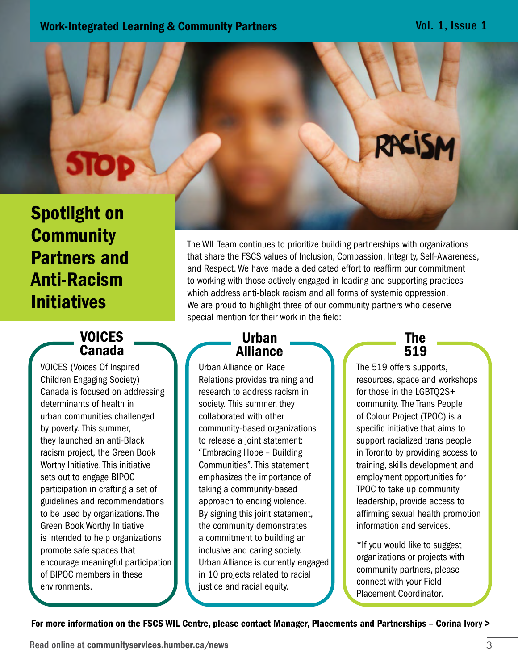# Spotlight on **Community** Partners and Anti-Racism Initiatives

**STOP** 

## VOICES Canada

VOICES (Voices Of Inspired Children Engaging Society) Canada is focused on addressing determinants of health in urban communities challenged by poverty. This summer, they launched an anti-Black racism project, the Green Book Worthy Initiative. This initiative sets out to engage BIPOC participation in crafting a set of guidelines and recommendations to be used by organizations. The Green Book Worthy Initiative is intended to help organizations promote safe spaces that encourage meaningful participation of BIPOC members in these environments.

The WIL Team continues to prioritize building partnerships with organizations that share the FSCS values of Inclusion, Compassion, Integrity, Self-Awareness, and Respect. We have made a dedicated effort to reaffirm our commitment to working with those actively engaged in leading and supporting practices which address anti-black racism and all forms of systemic oppression. We are proud to highlight three of our community partners who deserve special mention for their work in the field:

## Urban Alliance

Urban Alliance on Race Relations provides training and research to address racism in society. This summer, they collaborated with other community-based organizations to release a joint statement: "Embracing Hope – Building Communities". This statement emphasizes the importance of taking a community-based approach to ending violence. By signing this joint statement, the community demonstrates a commitment to building an inclusive and caring society. Urban Alliance is currently engaged in 10 projects related to racial justice and racial equity.



RACISM

The 519 offers supports, resources, space and workshops for those in the LGBTQ2S+ community. The Trans People of Colour Project (TPOC) is a specific initiative that aims to support racialized trans people in Toronto by providing access to training, skills development and employment opportunities for TPOC to take up community leadership, provide access to affirming sexual health promotion information and services.

\*If you would like to suggest organizations or projects with community partners, please connect with your Field Placement Coordinator.

For more information on the FSCS WIL Centre, please contact Manager, Placements and Partnerships – [Corina Ivory >](mailto:corina.ivory%40humber.ca?subject=)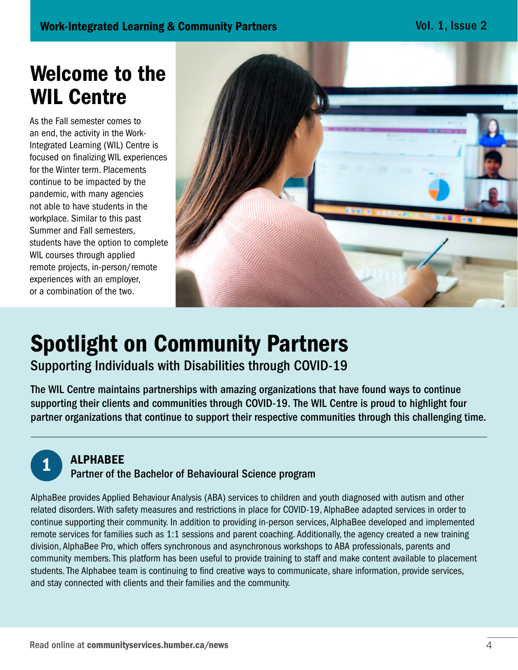Vol. 1, Issue 2

# Welcome to the WIL Centre

As the Fall semester comes to an end, the activity in the Work-Integrated Learning (WIL) Centre is focused on finalizing WIL experiences for the Winter term. Placements continue to be impacted by the pandemic, with many agencies not able to have students in the workplace. Similar to this past Summer and Fall semesters, students have the option to complete WIL courses through applied remote projects, in-person/remote experiences with an employer, or a combination of the two.



# Spotlight on Community Partners

Supporting Individuals with Disabilities through COVID-19

The WIL Centre maintains partnerships with amazing organizations that have found ways to continue supporting their clients and communities through COVID-19. The WIL Centre is proud to highlight four partner organizations that continue to support their respective communities through this challenging time.



#### **ALPHABEE**

#### Partner of the Bachelor of Behavioural Science program

AlphaBee provides Applied Behaviour Analysis (ABA) services to children and youth diagnosed with autism and other related disorders. With safety measures and restrictions in place for COVID-19, AlphaBee adapted services in order to continue supporting their community. In addition to providing in-person services, AlphaBee developed and implemented remote services for families such as 1:1 sessions and parent coaching. Additionally, the agency created a new training division, AlphaBee Pro, which offers synchronous and asynchronous workshops to ABA professionals, parents and community members. This platform has been useful to provide training to staff and make content available to placement students. The Alphabee team is continuing to find creative ways to communicate, share information, provide services, and stay connected with clients and their families and the community.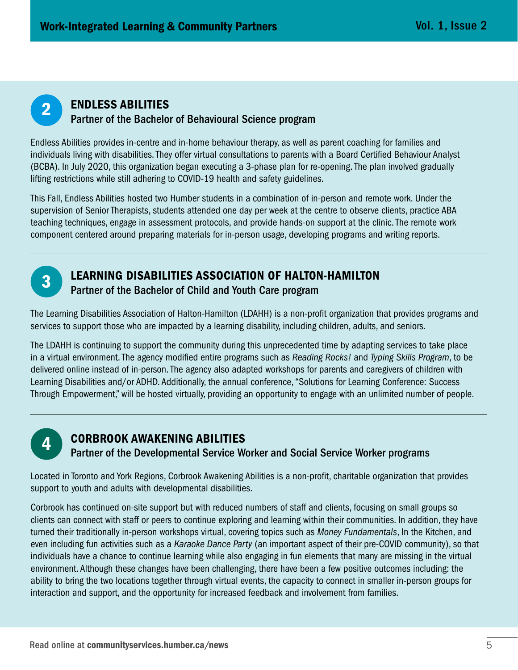

#### ENDLESS ABILITIES **Partner of the Bachelor of Behavioural Science program**<br> **Partner of the Bachelor of Behavioural Science program**

Endless Abilities provides in-centre and in-home behaviour therapy, as well as parent coaching for families and individuals living with disabilities. They offer virtual consultations to parents with a Board Certified Behaviour Analyst (BCBA). In July 2020, this organization began executing a 3-phase plan for re-opening. The plan involved gradually lifting restrictions while still adhering to COVID-19 health and safety guidelines.

This Fall, Endless Abilities hosted two Humber students in a combination of in-person and remote work. Under the supervision of Senior Therapists, students attended one day per week at the centre to observe clients, practice ABA teaching techniques, engage in assessment protocols, and provide hands-on support at the clinic. The remote work component centered around preparing materials for in-person usage, developing programs and writing reports.



## **3** LEARNING DISABILITIES ASSOCIATION OF HALTON-HAMILTON

Partner of the Bachelor of Child and Youth Care program

The Learning Disabilities Association of Halton-Hamilton (LDAHH) is a non-profit organization that provides programs and services to support those who are impacted by a learning disability, including children, adults, and seniors.

The LDAHH is continuing to support the community during this unprecedented time by adapting services to take place in a virtual environment. The agency modified entire programs such as *Reading Rocks!* and *Typing Skills Program*, to be delivered online instead of in-person. The agency also adapted workshops for parents and caregivers of children with Learning Disabilities and/or ADHD. Additionally, the annual conference, "Solutions for Learning Conference: Success Through Empowerment," will be hosted virtually, providing an opportunity to engage with an unlimited number of people.



## CORBROOK AWAKENING ABILITIES Partner of the Developmental Service Worker and Social Service Worker programs 4

Located in Toronto and York Regions, Corbrook Awakening Abilities is a non-profit, charitable organization that provides support to youth and adults with developmental disabilities.

Corbrook has continued on-site support but with reduced numbers of staff and clients, focusing on small groups so clients can connect with staff or peers to continue exploring and learning within their communities. In addition, they have turned their traditionally in-person workshops virtual, covering topics such as *Money Fundamentals*, In the Kitchen, and even including fun activities such as a *Karaoke Dance Party* (an important aspect of their pre-COVID community), so that individuals have a chance to continue learning while also engaging in fun elements that many are missing in the virtual environment. Although these changes have been challenging, there have been a few positive outcomes including: the ability to bring the two locations together through virtual events, the capacity to connect in smaller in-person groups for interaction and support, and the opportunity for increased feedback and involvement from families.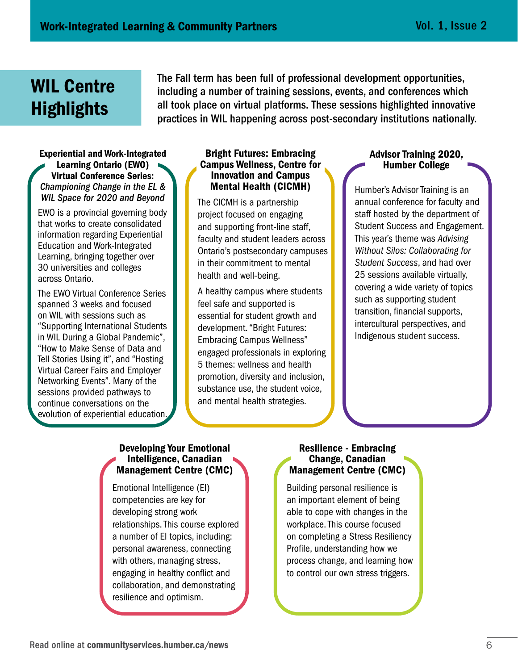# WIL Centre **Highlights**

The Fall term has been full of professional development opportunities, including a number of training sessions, events, and conferences which all took place on virtual platforms. These sessions highlighted innovative practices in WIL happening across post-secondary institutions nationally.

#### Experiential and Work-Integrated Learning Ontario (EWO) Virtual Conference Series: *Championing Change in the EL & WIL Space for 2020 and Beyond*

EWO is a provincial governing body that works to create consolidated information regarding Experiential Education and Work-Integrated Learning, bringing together over 30 universities and colleges across Ontario.

The EWO Virtual Conference Series spanned 3 weeks and focused on WIL with sessions such as "Supporting International Students in WIL During a Global Pandemic", "How to Make Sense of Data and Tell Stories Using it", and "Hosting Virtual Career Fairs and Employer Networking Events". Many of the sessions provided pathways to continue conversations on the evolution of experiential education.

#### Bright Futures: Embracing Campus Wellness, Centre for Innovation and Campus Mental Health (CICMH)

The CICMH is a partnership project focused on engaging and supporting front-line staff, faculty and student leaders across Ontario's postsecondary campuses in their commitment to mental health and well-being.

A healthy campus where students feel safe and supported is essential for student growth and development. "Bright Futures: Embracing Campus Wellness" engaged professionals in exploring 5 themes: wellness and health promotion, diversity and inclusion, substance use, the student voice, and mental health strategies.

#### Advisor Training 2020, Humber College

Humber's Advisor Training is an annual conference for faculty and staff hosted by the department of Student Success and Engagement. This year's theme was *Advising Without Silos: Collaborating for Student Success*, and had over 25 sessions available virtually, covering a wide variety of topics such as supporting student transition, financial supports, intercultural perspectives, and Indigenous student success.

#### Developing Your Emotional Intelligence, Canadian Management Centre (CMC)

Emotional Intelligence (EI) competencies are key for developing strong work relationships. This course explored a number of EI topics, including: personal awareness, connecting with others, managing stress, engaging in healthy conflict and collaboration, and demonstrating resilience and optimism.

#### Resilience - Embracing Change, Canadian Management Centre (CMC)

Building personal resilience is an important element of being able to cope with changes in the workplace. This course focused on completing a Stress Resiliency Profile, understanding how we process change, and learning how to control our own stress triggers.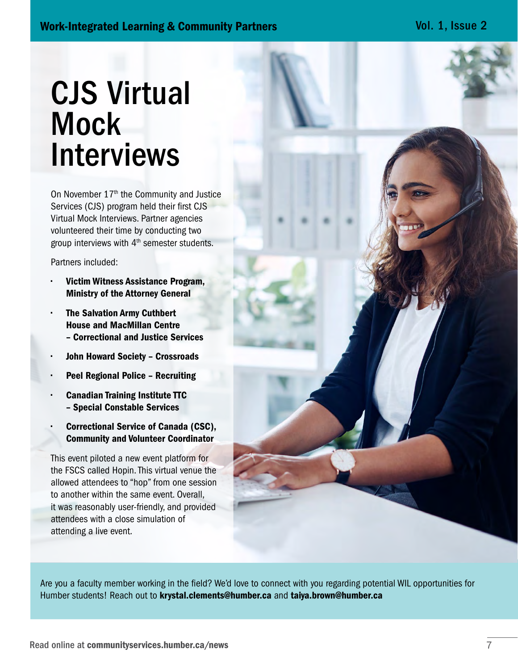# CJS Virtual **Mock** Interviews

On November 17<sup>th</sup> the Community and Justice Services (CJS) program held their first CJS Virtual Mock Interviews. Partner agencies volunteered their time by conducting two group interviews with  $4<sup>th</sup>$  semester students.

Partners included:

- Victim Witness Assistance Program, Ministry of the Attorney General
- The Salvation Army Cuthbert House and MacMillan Centre – Correctional and Justice Services
- John Howard Society Crossroads
- Peel Regional Police Recruiting
- Canadian Training Institute TTC – Special Constable Services
- Correctional Service of Canada (CSC), Community and Volunteer Coordinator

This event piloted a new event platform for the FSCS called Hopin. This virtual venue the allowed attendees to "hop" from one session to another within the same event. Overall, it was reasonably user-friendly, and provided attendees with a close simulation of attending a live event.



Are you a faculty member working in the field? We'd love to connect with you regarding potential WIL opportunities for Humber students! Reach out to [krystal.clements@humber.ca](mailto:krystal.clements%40humber.ca?subject=) and [taiya.brown@humber.ca](mailto:taiya.brown%40humber.ca?subject=)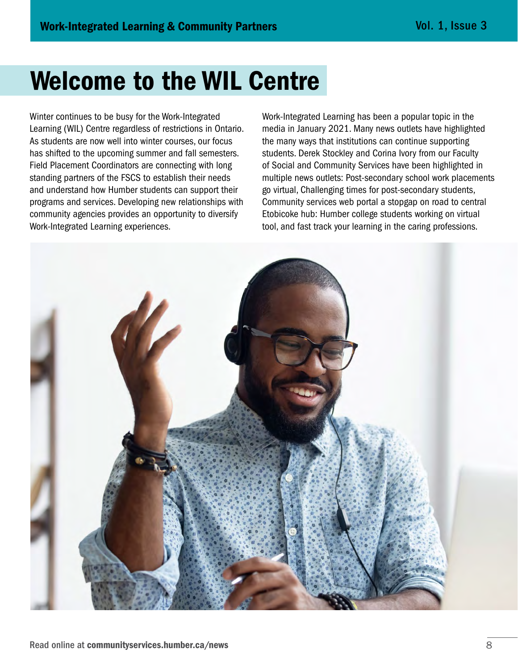# Welcome to the WIL Centre

Winter continues to be busy for the Work-Integrated Learning (WIL) Centre regardless of restrictions in Ontario. As students are now well into winter courses, our focus has shifted to the upcoming summer and fall semesters. Field Placement Coordinators are connecting with long standing partners of the FSCS to establish their needs and understand how Humber students can support their programs and services. Developing new relationships with community agencies provides an opportunity to diversify Work-Integrated Learning experiences.

Work-Integrated Learning has been a popular topic in the media in January 2021. Many news outlets have highlighted the many ways that institutions can continue supporting students. Derek Stockley and Corina Ivory from our Faculty of Social and Community Services have been highlighted in multiple news outlets: Post-secondary school work placements go virtual, Challenging times for post-secondary students, Community services web portal a stopgap on road to central Etobicoke hub: Humber college students working on virtual tool, and fast track your learning in the caring professions.

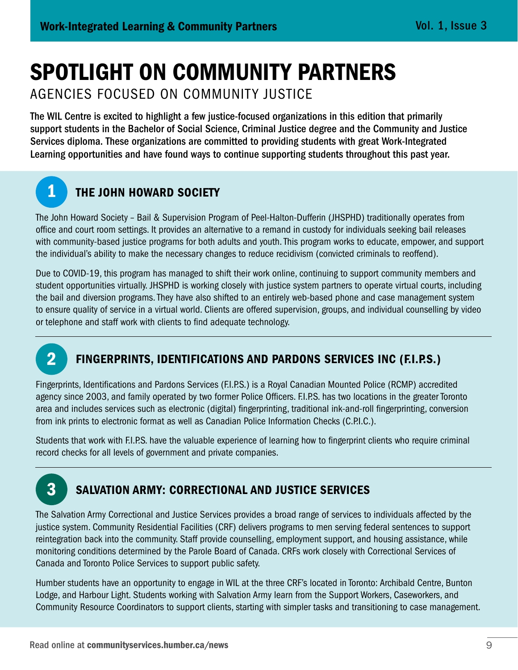# SPOTLIGHT ON COMMUNITY PARTNERS

AGENCIES FOCUSED ON COMMUNITY JUSTICE

The WIL Centre is excited to highlight a few justice-focused organizations in this edition that primarily support students in the Bachelor of Social Science, Criminal Justice degree and the Community and Justice Services diploma. These organizations are committed to providing students with great Work-Integrated Learning opportunities and have found ways to continue supporting students throughout this past year.

## **1 THE JOHN HOWARD SOCIETY**

The John Howard Society – Bail & Supervision Program of Peel-Halton-Dufferin (JHSPHD) traditionally operates from office and court room settings. It provides an alternative to a remand in custody for individuals seeking bail releases with community-based justice programs for both adults and youth. This program works to educate, empower, and support the individual's ability to make the necessary changes to reduce recidivism (convicted criminals to reoffend).

Due to COVID-19, this program has managed to shift their work online, continuing to support community members and student opportunities virtually. JHSPHD is working closely with justice system partners to operate virtual courts, including the bail and diversion programs. They have also shifted to an entirely web-based phone and case management system to ensure quality of service in a virtual world. Clients are offered supervision, groups, and individual counselling by video or telephone and staff work with clients to find adequate technology.



## 2 FINGERPRINTS, IDENTIFICATIONS AND PARDONS SERVICES INC (F.I.P.S.)

Fingerprints, Identifications and Pardons Services (F.I.P.S.) is a Royal Canadian Mounted Police (RCMP) accredited agency since 2003, and family operated by two former Police Officers. F.I.P.S. has two locations in the greater Toronto area and includes services such as electronic (digital) fingerprinting, traditional ink-and-roll fingerprinting, conversion from ink prints to electronic format as well as Canadian Police Information Checks (C.P.I.C.).

Students that work with F.I.P.S. have the valuable experience of learning how to fingerprint clients who require criminal record checks for all levels of government and private companies.



## 3 SALVATION ARMY: CORRECTIONAL AND JUSTICE SERVICES

The Salvation Army Correctional and Justice Services provides a broad range of services to individuals affected by the justice system. Community Residential Facilities (CRF) delivers programs to men serving federal sentences to support reintegration back into the community. Staff provide counselling, employment support, and housing assistance, while monitoring conditions determined by the Parole Board of Canada. CRFs work closely with Correctional Services of Canada and Toronto Police Services to support public safety.

Humber students have an opportunity to engage in WIL at the three CRF's located in Toronto: Archibald Centre, Bunton Lodge, and Harbour Light. Students working with Salvation Army learn from the Support Workers, Caseworkers, and Community Resource Coordinators to support clients, starting with simpler tasks and transitioning to case management.